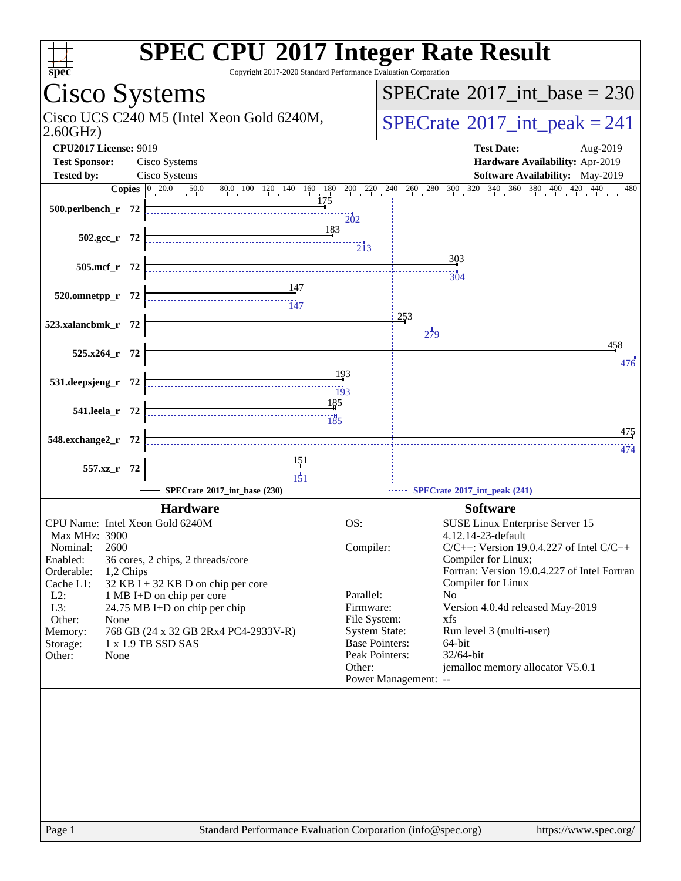| $s\overline{pec}$                                                                                                                                                                                                                                                                                                                                                                                                                       | <b>SPEC CPU®2017 Integer Rate Result</b><br>Copyright 2017-2020 Standard Performance Evaluation Corporation                                                                                                                                                                                                                                                                                                                                                                                                                                   |
|-----------------------------------------------------------------------------------------------------------------------------------------------------------------------------------------------------------------------------------------------------------------------------------------------------------------------------------------------------------------------------------------------------------------------------------------|-----------------------------------------------------------------------------------------------------------------------------------------------------------------------------------------------------------------------------------------------------------------------------------------------------------------------------------------------------------------------------------------------------------------------------------------------------------------------------------------------------------------------------------------------|
| Cisco Systems                                                                                                                                                                                                                                                                                                                                                                                                                           | $SPECTate$ <sup>®</sup> 2017_int_base = 230                                                                                                                                                                                                                                                                                                                                                                                                                                                                                                   |
| Cisco UCS C240 M5 (Intel Xeon Gold 6240M,<br>2.60GHz                                                                                                                                                                                                                                                                                                                                                                                    | $SPECrate^{\circ}2017\_int\_peak = 241$                                                                                                                                                                                                                                                                                                                                                                                                                                                                                                       |
| <b>CPU2017 License: 9019</b><br><b>Test Sponsor:</b><br>Cisco Systems                                                                                                                                                                                                                                                                                                                                                                   | <b>Test Date:</b><br>Aug-2019<br>Hardware Availability: Apr-2019                                                                                                                                                                                                                                                                                                                                                                                                                                                                              |
| <b>Tested by:</b><br>Cisco Systems                                                                                                                                                                                                                                                                                                                                                                                                      | Software Availability: May-2019                                                                                                                                                                                                                                                                                                                                                                                                                                                                                                               |
|                                                                                                                                                                                                                                                                                                                                                                                                                                         | <b>Copies</b> $\begin{bmatrix} 0 & 20.0 & 50.0 & 80.0 & 100 & 120 & 140 & 160 & 180 & 200 & 220 & 240 & 260 & 280 & 300 & 320 & 340 & 360 & 380 & 400 & 420 \end{bmatrix}$<br>440<br>480                                                                                                                                                                                                                                                                                                                                                      |
| 500.perlbench_r 72                                                                                                                                                                                                                                                                                                                                                                                                                      | 202                                                                                                                                                                                                                                                                                                                                                                                                                                                                                                                                           |
| 183<br>$502.\text{gcc}_r$ 72                                                                                                                                                                                                                                                                                                                                                                                                            | $\overline{2}$ <sub>13</sub>                                                                                                                                                                                                                                                                                                                                                                                                                                                                                                                  |
| 505.mcf_r 72                                                                                                                                                                                                                                                                                                                                                                                                                            | 303                                                                                                                                                                                                                                                                                                                                                                                                                                                                                                                                           |
| 147<br>147<br>$520.0$ mnetpp_r 72                                                                                                                                                                                                                                                                                                                                                                                                       | $\frac{1}{304}$                                                                                                                                                                                                                                                                                                                                                                                                                                                                                                                               |
| 523.xalancbmk_r 72                                                                                                                                                                                                                                                                                                                                                                                                                      | 253<br>279                                                                                                                                                                                                                                                                                                                                                                                                                                                                                                                                    |
| 525.x264_r 72                                                                                                                                                                                                                                                                                                                                                                                                                           | 458<br>476                                                                                                                                                                                                                                                                                                                                                                                                                                                                                                                                    |
| 531.deepsjeng_r 72                                                                                                                                                                                                                                                                                                                                                                                                                      | 193<br>$\overline{193}$                                                                                                                                                                                                                                                                                                                                                                                                                                                                                                                       |
| 185<br>541.leela_r 72<br>$\frac{185}{185}$                                                                                                                                                                                                                                                                                                                                                                                              |                                                                                                                                                                                                                                                                                                                                                                                                                                                                                                                                               |
| 548.exchange2_r 72                                                                                                                                                                                                                                                                                                                                                                                                                      | <u>475</u><br>474                                                                                                                                                                                                                                                                                                                                                                                                                                                                                                                             |
| 557.xz_r 72<br>151                                                                                                                                                                                                                                                                                                                                                                                                                      |                                                                                                                                                                                                                                                                                                                                                                                                                                                                                                                                               |
| SPECrate*2017_int_base (230)                                                                                                                                                                                                                                                                                                                                                                                                            | SPECrate®2017_int_peak (241)                                                                                                                                                                                                                                                                                                                                                                                                                                                                                                                  |
| <b>Hardware</b><br>CPU Name: Intel Xeon Gold 6240M<br><b>Max MHz: 3900</b><br>Nominal:<br>2600<br>Enabled:<br>36 cores, 2 chips, 2 threads/core<br>Orderable:<br>1,2 Chips<br>$32$ KB I + 32 KB D on chip per core<br>Cache L1:<br>$L2$ :<br>1 MB I+D on chip per core<br>L3:<br>24.75 MB I+D on chip per chip<br>Other:<br>None<br>768 GB (24 x 32 GB 2Rx4 PC4-2933V-R)<br>Memory:<br>1 x 1.9 TB SSD SAS<br>Storage:<br>Other:<br>None | <b>Software</b><br>OS:<br>SUSE Linux Enterprise Server 15<br>4.12.14-23-default<br>$C/C++$ : Version 19.0.4.227 of Intel $C/C++$<br>Compiler:<br>Compiler for Linux;<br>Fortran: Version 19.0.4.227 of Intel Fortran<br>Compiler for Linux<br>Parallel:<br>N <sub>0</sub><br>Firmware:<br>Version 4.0.4d released May-2019<br>File System:<br>xfs<br><b>System State:</b><br>Run level 3 (multi-user)<br><b>Base Pointers:</b><br>64-bit<br>Peak Pointers:<br>32/64-bit<br>jemalloc memory allocator V5.0.1<br>Other:<br>Power Management: -- |
|                                                                                                                                                                                                                                                                                                                                                                                                                                         |                                                                                                                                                                                                                                                                                                                                                                                                                                                                                                                                               |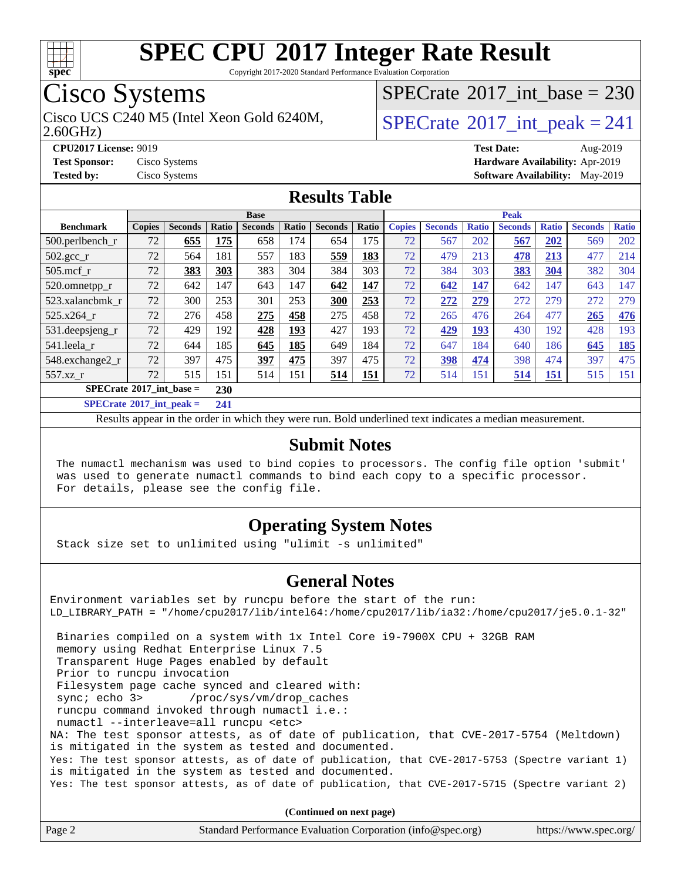

Copyright 2017-2020 Standard Performance Evaluation Corporation

## Cisco Systems

 $SPECrate$ <sup>®</sup>[2017\\_int\\_base =](http://www.spec.org/auto/cpu2017/Docs/result-fields.html#SPECrate2017intbase) 230

2.60GHz)

## Cisco UCS C240 M5 (Intel Xeon Gold 6240M,  $SPECrate@2017\_int\_peak = 241$  $SPECrate@2017\_int\_peak = 241$

**[CPU2017 License:](http://www.spec.org/auto/cpu2017/Docs/result-fields.html#CPU2017License)** 9019 **[Test Date:](http://www.spec.org/auto/cpu2017/Docs/result-fields.html#TestDate)** Aug-2019 **[Test Sponsor:](http://www.spec.org/auto/cpu2017/Docs/result-fields.html#TestSponsor)** Cisco Systems **[Hardware Availability:](http://www.spec.org/auto/cpu2017/Docs/result-fields.html#HardwareAvailability)** Apr-2019 **[Tested by:](http://www.spec.org/auto/cpu2017/Docs/result-fields.html#Testedby)** Cisco Systems **[Software Availability:](http://www.spec.org/auto/cpu2017/Docs/result-fields.html#SoftwareAvailability)** May-2019

#### **[Results Table](http://www.spec.org/auto/cpu2017/Docs/result-fields.html#ResultsTable)**

|                                                                                                     | <b>Base</b>   |                |       |                |            |                | <b>Peak</b> |               |                |       |                |              |                |              |
|-----------------------------------------------------------------------------------------------------|---------------|----------------|-------|----------------|------------|----------------|-------------|---------------|----------------|-------|----------------|--------------|----------------|--------------|
| <b>Benchmark</b>                                                                                    | <b>Copies</b> | <b>Seconds</b> | Ratio | <b>Seconds</b> | Ratio      | <b>Seconds</b> | Ratio       | <b>Copies</b> | <b>Seconds</b> | Ratio | <b>Seconds</b> | <b>Ratio</b> | <b>Seconds</b> | <b>Ratio</b> |
| $500.$ perlbench_r                                                                                  | 72            | 655            | 175   | 658            | 174        | 654            | 175         | 72            | 567            | 202   | 567            | 202          | 569            | 202          |
| $502.\text{gcc\_r}$                                                                                 | 72            | 564            | 181   | 557            | 183        | 559            | 183         | 72            | 479            | 213   | 478            | 213          | 477            | 214          |
| $505$ .mcf r                                                                                        | 72            | 383            | 303   | 383            | 304        | 384            | 303         | 72            | 384            | 303   | 383            | 304          | 382            | 304          |
| 520.omnetpp_r                                                                                       | 72            | 642            | 147   | 643            | 147        | 642            | 147         | 72            | 642            | 147   | 642            | 147          | 643            | 147          |
| 523.xalancbmk r                                                                                     | 72            | 300            | 253   | 301            | 253        | 300            | 253         | 72            | 272            | 279   | 272            | 279          | 272            | 279          |
| 525.x264 r                                                                                          | 72            | 276            | 458   | 275            | 458        | 275            | 458         | 72            | 265            | 476   | 264            | 477          | 265            | 476          |
| $531.$ deepsjeng $_r$                                                                               | 72            | 429            | 192   | 428            | <u>193</u> | 427            | 193         | 72            | 429            | 193   | 430            | 192          | 428            | 193          |
| 541.leela r                                                                                         | 72            | 644            | 185   | 645            | 185        | 649            | 184         | 72            | 647            | 184   | 640            | 186          | 645            | <u>185</u>   |
| 548.exchange2_r                                                                                     | 72            | 397            | 475   | 397            | 475        | 397            | 475         | 72            | 398            | 474   | 398            | 474          | 397            | 475          |
| 557.xz r                                                                                            | 72            | 515            | 151   | 514            | 151        | 514            | 151         | 72            | 514            | 151   | 514            | 151          | 515            | 151          |
| $SPECrate^{\circ}2017$ int base =<br>230                                                            |               |                |       |                |            |                |             |               |                |       |                |              |                |              |
| $C1$ $A0$ $A1$ $A2$ $A3$ $A4$ $A5$ $A6$ $A7$ $A8$ $A9$ $A1$ $A1$ $A2$ $A3$ $A1$ $A2$ $A3$ $A1$ $A2$ |               |                | $-11$ |                |            |                |             |               |                |       |                |              |                |              |

**[SPECrate](http://www.spec.org/auto/cpu2017/Docs/result-fields.html#SPECrate2017intpeak)[2017\\_int\\_peak =](http://www.spec.org/auto/cpu2017/Docs/result-fields.html#SPECrate2017intpeak) 241**

Results appear in the [order in which they were run](http://www.spec.org/auto/cpu2017/Docs/result-fields.html#RunOrder). Bold underlined text [indicates a median measurement](http://www.spec.org/auto/cpu2017/Docs/result-fields.html#Median).

#### **[Submit Notes](http://www.spec.org/auto/cpu2017/Docs/result-fields.html#SubmitNotes)**

 The numactl mechanism was used to bind copies to processors. The config file option 'submit' was used to generate numactl commands to bind each copy to a specific processor. For details, please see the config file.

#### **[Operating System Notes](http://www.spec.org/auto/cpu2017/Docs/result-fields.html#OperatingSystemNotes)**

Stack size set to unlimited using "ulimit -s unlimited"

#### **[General Notes](http://www.spec.org/auto/cpu2017/Docs/result-fields.html#GeneralNotes)**

Environment variables set by runcpu before the start of the run: LD\_LIBRARY\_PATH = "/home/cpu2017/lib/intel64:/home/cpu2017/lib/ia32:/home/cpu2017/je5.0.1-32" Binaries compiled on a system with 1x Intel Core i9-7900X CPU + 32GB RAM memory using Redhat Enterprise Linux 7.5 Transparent Huge Pages enabled by default Prior to runcpu invocation Filesystem page cache synced and cleared with: sync; echo 3> /proc/sys/vm/drop\_caches runcpu command invoked through numactl i.e.: numactl --interleave=all runcpu <etc> NA: The test sponsor attests, as of date of publication, that CVE-2017-5754 (Meltdown) is mitigated in the system as tested and documented. Yes: The test sponsor attests, as of date of publication, that CVE-2017-5753 (Spectre variant 1) is mitigated in the system as tested and documented. Yes: The test sponsor attests, as of date of publication, that CVE-2017-5715 (Spectre variant 2)

**(Continued on next page)**

| Page 2<br>Standard Performance Evaluation Corporation (info@spec.org)<br>https://www.spec.org/ |  |
|------------------------------------------------------------------------------------------------|--|
|------------------------------------------------------------------------------------------------|--|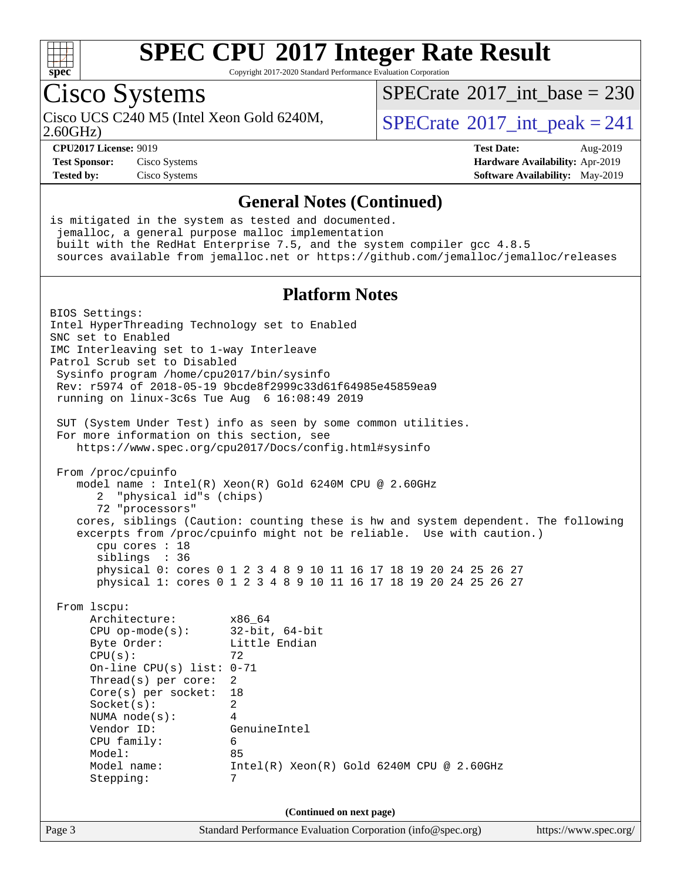

Copyright 2017-2020 Standard Performance Evaluation Corporation

## Cisco Systems

2.60GHz)

 $SPECrate$ <sup>®</sup>[2017\\_int\\_base =](http://www.spec.org/auto/cpu2017/Docs/result-fields.html#SPECrate2017intbase) 230

Cisco UCS C240 M5 (Intel Xeon Gold 6240M,  $SPECrate@2017\_int\_peak = 241$  $SPECrate@2017\_int\_peak = 241$ 

**[Test Sponsor:](http://www.spec.org/auto/cpu2017/Docs/result-fields.html#TestSponsor)** Cisco Systems **[Hardware Availability:](http://www.spec.org/auto/cpu2017/Docs/result-fields.html#HardwareAvailability)** Apr-2019

**[CPU2017 License:](http://www.spec.org/auto/cpu2017/Docs/result-fields.html#CPU2017License)** 9019 **[Test Date:](http://www.spec.org/auto/cpu2017/Docs/result-fields.html#TestDate)** Aug-2019 **[Tested by:](http://www.spec.org/auto/cpu2017/Docs/result-fields.html#Testedby)** Cisco Systems **[Software Availability:](http://www.spec.org/auto/cpu2017/Docs/result-fields.html#SoftwareAvailability)** May-2019

#### **[General Notes \(Continued\)](http://www.spec.org/auto/cpu2017/Docs/result-fields.html#GeneralNotes)**

is mitigated in the system as tested and documented. jemalloc, a general purpose malloc implementation built with the RedHat Enterprise 7.5, and the system compiler gcc 4.8.5 sources available from jemalloc.net or <https://github.com/jemalloc/jemalloc/releases> **[Platform Notes](http://www.spec.org/auto/cpu2017/Docs/result-fields.html#PlatformNotes)** BIOS Settings: Intel HyperThreading Technology set to Enabled SNC set to Enabled IMC Interleaving set to 1-way Interleave Patrol Scrub set to Disabled Sysinfo program /home/cpu2017/bin/sysinfo Rev: r5974 of 2018-05-19 9bcde8f2999c33d61f64985e45859ea9 running on linux-3c6s Tue Aug 6 16:08:49 2019 SUT (System Under Test) info as seen by some common utilities. For more information on this section, see <https://www.spec.org/cpu2017/Docs/config.html#sysinfo> From /proc/cpuinfo model name : Intel(R) Xeon(R) Gold 6240M CPU @ 2.60GHz 2 "physical id"s (chips) 72 "processors" cores, siblings (Caution: counting these is hw and system dependent. The following excerpts from /proc/cpuinfo might not be reliable. Use with caution.) cpu cores : 18 siblings : 36 physical 0: cores 0 1 2 3 4 8 9 10 11 16 17 18 19 20 24 25 26 27 physical 1: cores 0 1 2 3 4 8 9 10 11 16 17 18 19 20 24 25 26 27 From lscpu: Architecture: x86\_64 CPU op-mode(s): 32-bit, 64-bit Byte Order: Little Endian  $CPU(s):$  72 On-line CPU(s) list: 0-71 Thread(s) per core: 2 Core(s) per socket: 18 Socket(s): 2 NUMA node(s): 4 Vendor ID: GenuineIntel CPU family: 6 Model: 85 Model name: Intel(R) Xeon(R) Gold 6240M CPU @ 2.60GHz Stepping: 7 **(Continued on next page)**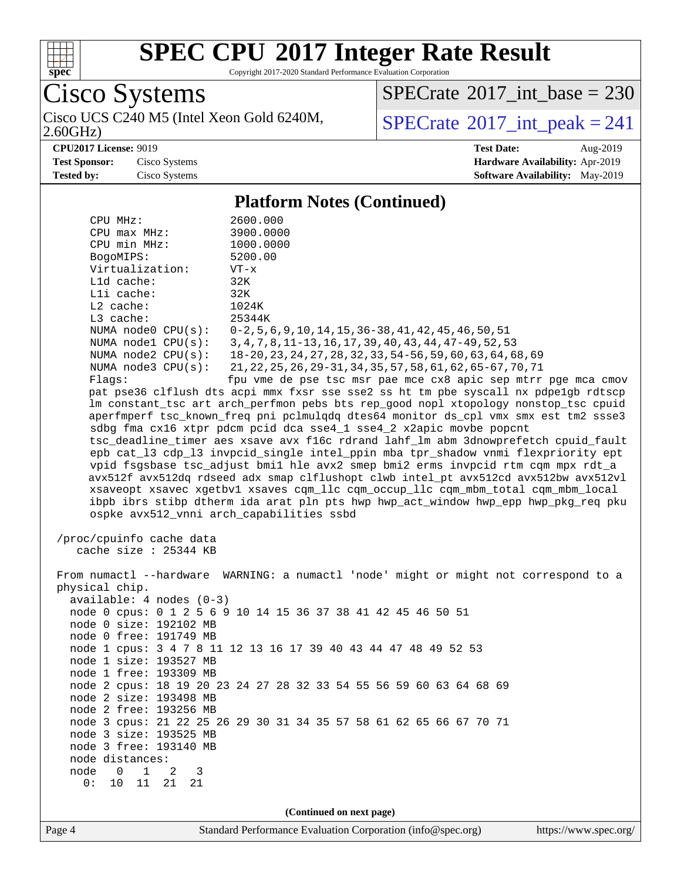

Copyright 2017-2020 Standard Performance Evaluation Corporation

Cisco Systems Cisco UCS C240 M5 (Intel Xeon Gold 6240M,<br>2.60GHz)

 $SPECTate$ <sup>®</sup>[2017\\_int\\_base =](http://www.spec.org/auto/cpu2017/Docs/result-fields.html#SPECrate2017intbase) 230

 $SPECTate$ <sup>®</sup>[2017\\_int\\_peak = 2](http://www.spec.org/auto/cpu2017/Docs/result-fields.html#SPECrate2017intpeak)41

**[CPU2017 License:](http://www.spec.org/auto/cpu2017/Docs/result-fields.html#CPU2017License)** 9019 **[Test Date:](http://www.spec.org/auto/cpu2017/Docs/result-fields.html#TestDate)** Aug-2019

**[Test Sponsor:](http://www.spec.org/auto/cpu2017/Docs/result-fields.html#TestSponsor)** Cisco Systems **[Hardware Availability:](http://www.spec.org/auto/cpu2017/Docs/result-fields.html#HardwareAvailability)** Apr-2019

**[Tested by:](http://www.spec.org/auto/cpu2017/Docs/result-fields.html#Testedby)** Cisco Systems **[Software Availability:](http://www.spec.org/auto/cpu2017/Docs/result-fields.html#SoftwareAvailability)** May-2019

#### **[Platform Notes \(Continued\)](http://www.spec.org/auto/cpu2017/Docs/result-fields.html#PlatformNotes)** CPU MHz: 2600.000 CPU max MHz: 3900.0000 CPU min MHz: 1000.0000 BogoMIPS: 5200.00 Virtualization: VT-x L1d cache: 32K L1i cache: 32K L2 cache: 1024K L3 cache: 25344K NUMA node0 CPU(s): 0-2,5,6,9,10,14,15,36-38,41,42,45,46,50,51 NUMA node1 CPU(s): 3,4,7,8,11-13,16,17,39,40,43,44,47-49,52,53 NUMA node2 CPU(s): 18-20,23,24,27,28,32,33,54-56,59,60,63,64,68,69 NUMA node3 CPU(s): 21,22,25,26,29-31,34,35,57,58,61,62,65-67,70,71 Flags: fpu vme de pse tsc msr pae mce cx8 apic sep mtrr pge mca cmov pat pse36 clflush dts acpi mmx fxsr sse sse2 ss ht tm pbe syscall nx pdpe1gb rdtscp lm constant\_tsc art arch\_perfmon pebs bts rep\_good nopl xtopology nonstop\_tsc cpuid aperfmperf tsc\_known\_freq pni pclmulqdq dtes64 monitor ds\_cpl vmx smx est tm2 ssse3 sdbg fma cx16 xtpr pdcm pcid dca sse4\_1 sse4\_2 x2apic movbe popcnt tsc\_deadline\_timer aes xsave avx f16c rdrand lahf\_lm abm 3dnowprefetch cpuid\_fault epb cat\_l3 cdp\_l3 invpcid\_single intel\_ppin mba tpr\_shadow vnmi flexpriority ept vpid fsgsbase tsc\_adjust bmi1 hle avx2 smep bmi2 erms invpcid rtm cqm mpx rdt\_a avx512f avx512dq rdseed adx smap clflushopt clwb intel\_pt avx512cd avx512bw avx512vl xsaveopt xsavec xgetbv1 xsaves cqm\_llc cqm\_occup\_llc cqm\_mbm\_total cqm\_mbm\_local ibpb ibrs stibp dtherm ida arat pln pts hwp hwp\_act\_window hwp\_epp hwp\_pkg\_req pku ospke avx512\_vnni arch\_capabilities ssbd /proc/cpuinfo cache data cache size : 25344 KB From numactl --hardware WARNING: a numactl 'node' might or might not correspond to a physical chip. available: 4 nodes (0-3) node 0 cpus: 0 1 2 5 6 9 10 14 15 36 37 38 41 42 45 46 50 51 node 0 size: 192102 MB node 0 free: 191749 MB node 1 cpus: 3 4 7 8 11 12 13 16 17 39 40 43 44 47 48 49 52 53 node 1 size: 193527 MB node 1 free: 193309 MB node 2 cpus: 18 19 20 23 24 27 28 32 33 54 55 56 59 60 63 64 68 69 node 2 size: 193498 MB node 2 free: 193256 MB node 3 cpus: 21 22 25 26 29 30 31 34 35 57 58 61 62 65 66 67 70 71 node 3 size: 193525 MB node 3 free: 193140 MB node distances: node 0 1 2 3 0: 10 11 21 21 **(Continued on next page)**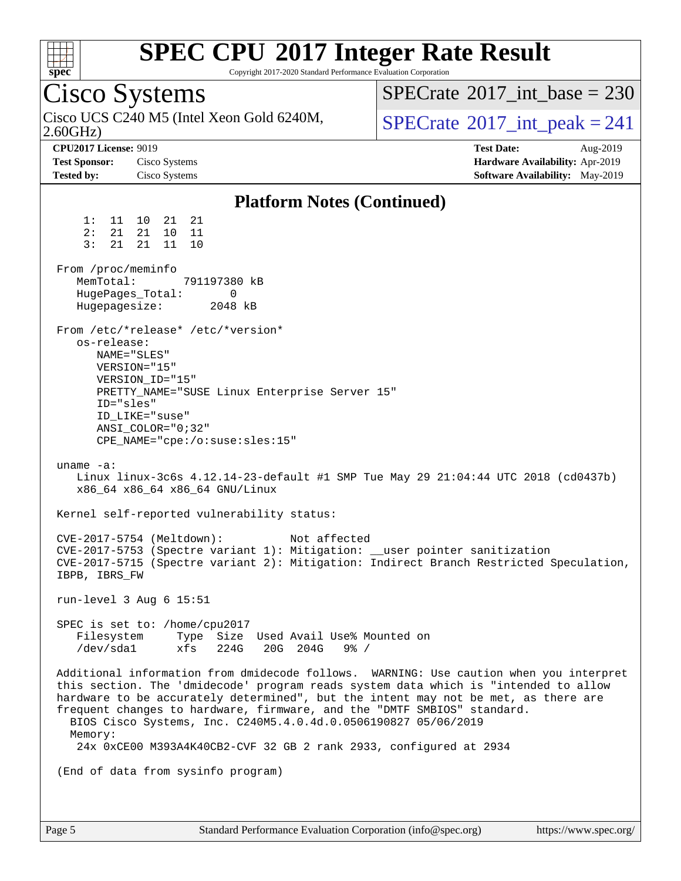

Copyright 2017-2020 Standard Performance Evaluation Corporation

Cisco Systems 2.60GHz) Cisco UCS C240 M5 (Intel Xeon Gold 6240M,  $SPECrate@2017\_int\_peak = 241$  $SPECrate@2017\_int\_peak = 241$  $SPECTate$ <sup>®</sup>[2017\\_int\\_base =](http://www.spec.org/auto/cpu2017/Docs/result-fields.html#SPECrate2017intbase) 230 **[CPU2017 License:](http://www.spec.org/auto/cpu2017/Docs/result-fields.html#CPU2017License)** 9019 **[Test Date:](http://www.spec.org/auto/cpu2017/Docs/result-fields.html#TestDate)** Aug-2019 **[Test Sponsor:](http://www.spec.org/auto/cpu2017/Docs/result-fields.html#TestSponsor)** Cisco Systems **[Hardware Availability:](http://www.spec.org/auto/cpu2017/Docs/result-fields.html#HardwareAvailability)** Apr-2019 **[Tested by:](http://www.spec.org/auto/cpu2017/Docs/result-fields.html#Testedby)** Cisco Systems **[Software Availability:](http://www.spec.org/auto/cpu2017/Docs/result-fields.html#SoftwareAvailability)** May-2019 **[Platform Notes \(Continued\)](http://www.spec.org/auto/cpu2017/Docs/result-fields.html#PlatformNotes)** 1: 11 10 21 21 2: 21 21 10 11 3: 21 21 11 10 From /proc/meminfo MemTotal: 791197380 kB HugePages\_Total: 0<br>Hugepagesize: 2048 kB Hugepagesize: From /etc/\*release\* /etc/\*version\* os-release: NAME="SLES" VERSION="15" VERSION\_ID="15" PRETTY\_NAME="SUSE Linux Enterprise Server 15" ID="sles" ID\_LIKE="suse" ANSI\_COLOR="0;32" CPE\_NAME="cpe:/o:suse:sles:15" uname -a: Linux linux-3c6s 4.12.14-23-default #1 SMP Tue May 29 21:04:44 UTC 2018 (cd0437b) x86\_64 x86\_64 x86\_64 GNU/Linux Kernel self-reported vulnerability status: CVE-2017-5754 (Meltdown): Not affected CVE-2017-5753 (Spectre variant 1): Mitigation: \_\_user pointer sanitization CVE-2017-5715 (Spectre variant 2): Mitigation: Indirect Branch Restricted Speculation, IBPB, IBRS\_FW run-level 3 Aug 6 15:51 SPEC is set to: /home/cpu2017 Filesystem Type Size Used Avail Use% Mounted on /dev/sda1 xfs 224G 20G 204G 9% / Additional information from dmidecode follows. WARNING: Use caution when you interpret this section. The 'dmidecode' program reads system data which is "intended to allow hardware to be accurately determined", but the intent may not be met, as there are frequent changes to hardware, firmware, and the "DMTF SMBIOS" standard. BIOS Cisco Systems, Inc. C240M5.4.0.4d.0.0506190827 05/06/2019 Memory: 24x 0xCE00 M393A4K40CB2-CVF 32 GB 2 rank 2933, configured at 2934 (End of data from sysinfo program)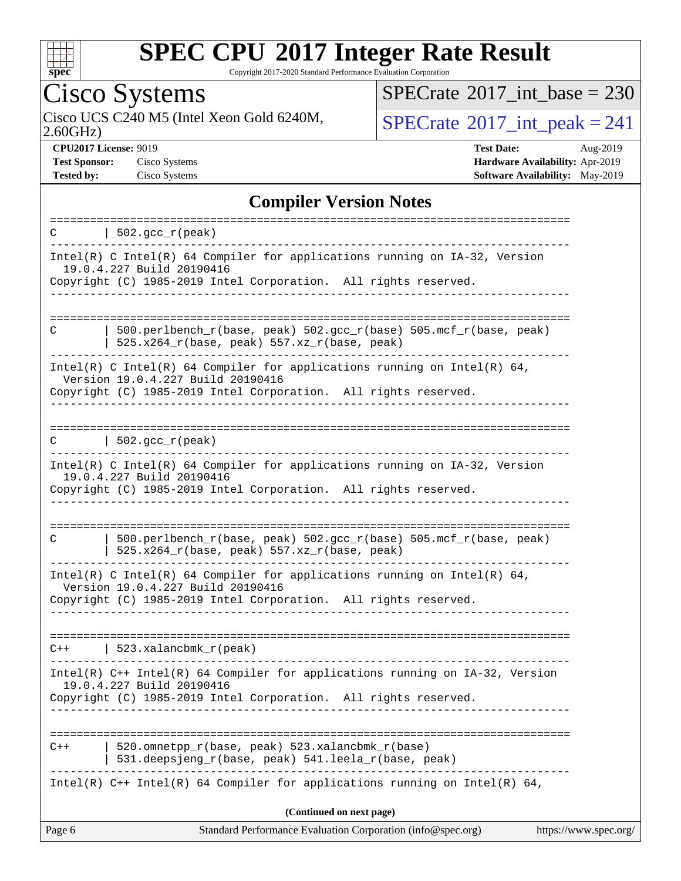

Copyright 2017-2020 Standard Performance Evaluation Corporation

## Cisco Systems

2.60GHz) Cisco UCS C240 M5 (Intel Xeon Gold 6240M,  $SPECrate@2017\_int\_peak = 241$  $SPECrate@2017\_int\_peak = 241$ 

 $SPECrate$ <sup>®</sup>[2017\\_int\\_base =](http://www.spec.org/auto/cpu2017/Docs/result-fields.html#SPECrate2017intbase) 230

**[CPU2017 License:](http://www.spec.org/auto/cpu2017/Docs/result-fields.html#CPU2017License)** 9019 **[Test Date:](http://www.spec.org/auto/cpu2017/Docs/result-fields.html#TestDate)** Aug-2019 **[Test Sponsor:](http://www.spec.org/auto/cpu2017/Docs/result-fields.html#TestSponsor)** Cisco Systems **[Hardware Availability:](http://www.spec.org/auto/cpu2017/Docs/result-fields.html#HardwareAvailability)** Apr-2019 **[Tested by:](http://www.spec.org/auto/cpu2017/Docs/result-fields.html#Testedby)** Cisco Systems **[Software Availability:](http://www.spec.org/auto/cpu2017/Docs/result-fields.html#SoftwareAvailability)** May-2019

### **[Compiler Version Notes](http://www.spec.org/auto/cpu2017/Docs/result-fields.html#CompilerVersionNotes)**

| $\vert$ 502.gcc_r(peak)<br>C                                                                                                                                                                     |  |
|--------------------------------------------------------------------------------------------------------------------------------------------------------------------------------------------------|--|
| $Intel(R)$ C Intel(R) 64 Compiler for applications running on $IA-32$ , Version<br>19.0.4.227 Build 20190416<br>Copyright (C) 1985-2019 Intel Corporation. All rights reserved.                  |  |
| $500.perlbench_r(base, peak) 502.sec_r(base) 505.mcf_r(base, peak)$<br>C<br>$525.x264_r(base, peak) 557.xz_r(base, peak)$                                                                        |  |
| Intel(R) C Intel(R) 64 Compiler for applications running on Intel(R) 64,<br>Version 19.0.4.227 Build 20190416<br>Copyright (C) 1985-2019 Intel Corporation. All rights reserved.                 |  |
| $ 502.\mathrm{gcc\_r}(\mathrm{peak}) $                                                                                                                                                           |  |
| Intel(R) C Intel(R) 64 Compiler for applications running on IA-32, Version<br>19.0.4.227 Build 20190416<br>Copyright (C) 1985-2019 Intel Corporation. All rights reserved.<br>------------------ |  |
| 500.perlbench_r(base, peak) 502.gcc_r(base) 505.mcf_r(base, peak)<br>C<br>525.x264_r(base, peak) 557.xz_r(base, peak)                                                                            |  |
| Intel(R) C Intel(R) 64 Compiler for applications running on Intel(R) 64,<br>Version 19.0.4.227 Build 20190416<br>Copyright (C) 1985-2019 Intel Corporation. All rights reserved.                 |  |
| $C++$   523.xalancbmk $r(\text{peak})$                                                                                                                                                           |  |
| Intel(R) $C++$ Intel(R) 64 Compiler for applications running on $IA-32$ , Version<br>19.0.4.227 Build 20190416<br>Copyright (C) 1985-2019 Intel Corporation. All rights reserved.                |  |
| 520.omnetpp_r(base, peak) 523.xalancbmk_r(base)<br>$C++$<br>531.deepsjeng_r(base, peak) 541.leela_r(base, peak)                                                                                  |  |
| Intel(R) $C++$ Intel(R) 64 Compiler for applications running on Intel(R) 64,                                                                                                                     |  |
| (Continued on next page)<br>https://www.spec.org/<br>Page 6<br>Standard Performance Evaluation Corporation (info@spec.org)                                                                       |  |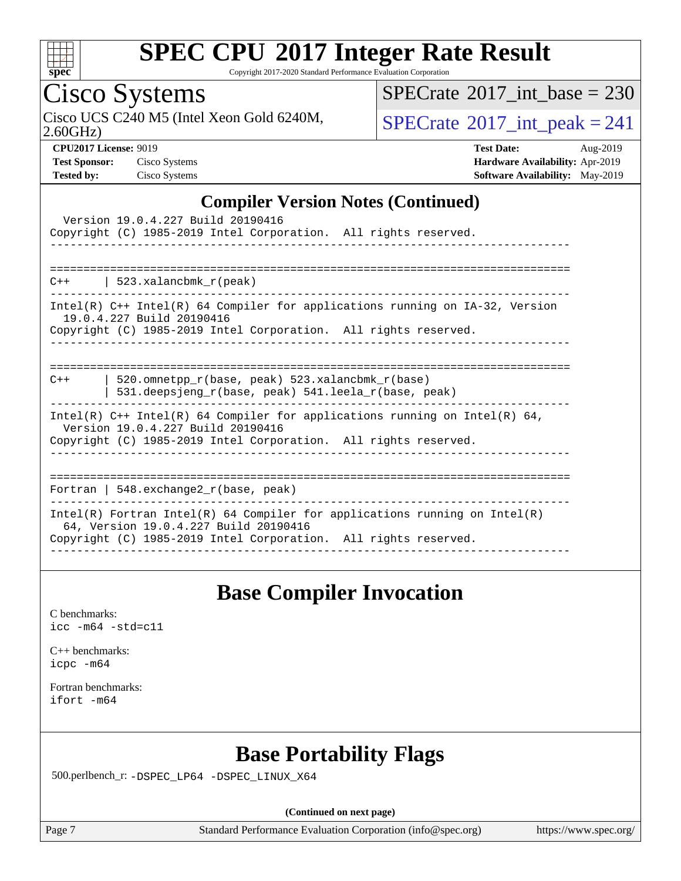

Copyright 2017-2020 Standard Performance Evaluation Corporation

## Cisco Systems

 $SPECTate@2017_int\_base = 230$ 

Cisco UCS C240 M5 (Intel Xeon Gold 6240M,  $SPECrate@2017(int _peak = 241$  $SPECrate@2017(int _peak = 241$ 

2.60GHz)

**[CPU2017 License:](http://www.spec.org/auto/cpu2017/Docs/result-fields.html#CPU2017License)** 9019 **[Test Date:](http://www.spec.org/auto/cpu2017/Docs/result-fields.html#TestDate)** Aug-2019 **[Test Sponsor:](http://www.spec.org/auto/cpu2017/Docs/result-fields.html#TestSponsor)** Cisco Systems **[Hardware Availability:](http://www.spec.org/auto/cpu2017/Docs/result-fields.html#HardwareAvailability)** Apr-2019 **[Tested by:](http://www.spec.org/auto/cpu2017/Docs/result-fields.html#Testedby)** Cisco Systems **[Software Availability:](http://www.spec.org/auto/cpu2017/Docs/result-fields.html#SoftwareAvailability)** May-2019

#### **[Compiler Version Notes \(Continued\)](http://www.spec.org/auto/cpu2017/Docs/result-fields.html#CompilerVersionNotes)**

| Version 19.0.4.227 Build 20190416<br>Copyright (C) 1985-2019 Intel Corporation. All rights reserved.                                                                                   |
|----------------------------------------------------------------------------------------------------------------------------------------------------------------------------------------|
| $C++$   523.xalancbmk $r(\text{peak})$                                                                                                                                                 |
| Intel(R) $C++$ Intel(R) 64 Compiler for applications running on $IA-32$ , Version<br>19.0.4.227 Build 20190416<br>Copyright (C) 1985-2019 Intel Corporation. All rights reserved.      |
| 520.omnetpp $r(base, peak)$ 523.xalancbmk $r(base)$<br>$C++$<br>531.deepsjeng_r(base, peak) 541.leela_r(base, peak)                                                                    |
| Intel(R) $C++$ Intel(R) 64 Compiler for applications running on Intel(R) 64,<br>Version 19.0.4.227 Build 20190416<br>Copyright (C) 1985-2019 Intel Corporation. All rights reserved.   |
| Fortran   548. $exchange2 r(base, peak)$                                                                                                                                               |
| Intel(R) Fortran Intel(R) 64 Compiler for applications running on Intel(R)<br>64, Version 19.0.4.227 Build 20190416<br>Copyright (C) 1985-2019 Intel Corporation. All rights reserved. |

### **[Base Compiler Invocation](http://www.spec.org/auto/cpu2017/Docs/result-fields.html#BaseCompilerInvocation)**

[C benchmarks](http://www.spec.org/auto/cpu2017/Docs/result-fields.html#Cbenchmarks): [icc -m64 -std=c11](http://www.spec.org/cpu2017/results/res2019q3/cpu2017-20190819-16778.flags.html#user_CCbase_intel_icc_64bit_c11_33ee0cdaae7deeeab2a9725423ba97205ce30f63b9926c2519791662299b76a0318f32ddfffdc46587804de3178b4f9328c46fa7c2b0cd779d7a61945c91cd35)

[C++ benchmarks:](http://www.spec.org/auto/cpu2017/Docs/result-fields.html#CXXbenchmarks) [icpc -m64](http://www.spec.org/cpu2017/results/res2019q3/cpu2017-20190819-16778.flags.html#user_CXXbase_intel_icpc_64bit_4ecb2543ae3f1412ef961e0650ca070fec7b7afdcd6ed48761b84423119d1bf6bdf5cad15b44d48e7256388bc77273b966e5eb805aefd121eb22e9299b2ec9d9)

[Fortran benchmarks](http://www.spec.org/auto/cpu2017/Docs/result-fields.html#Fortranbenchmarks): [ifort -m64](http://www.spec.org/cpu2017/results/res2019q3/cpu2017-20190819-16778.flags.html#user_FCbase_intel_ifort_64bit_24f2bb282fbaeffd6157abe4f878425411749daecae9a33200eee2bee2fe76f3b89351d69a8130dd5949958ce389cf37ff59a95e7a40d588e8d3a57e0c3fd751)

## **[Base Portability Flags](http://www.spec.org/auto/cpu2017/Docs/result-fields.html#BasePortabilityFlags)**

500.perlbench\_r: [-DSPEC\\_LP64](http://www.spec.org/cpu2017/results/res2019q3/cpu2017-20190819-16778.flags.html#b500.perlbench_r_basePORTABILITY_DSPEC_LP64) [-DSPEC\\_LINUX\\_X64](http://www.spec.org/cpu2017/results/res2019q3/cpu2017-20190819-16778.flags.html#b500.perlbench_r_baseCPORTABILITY_DSPEC_LINUX_X64)

**(Continued on next page)**

Page 7 Standard Performance Evaluation Corporation [\(info@spec.org\)](mailto:info@spec.org) <https://www.spec.org/>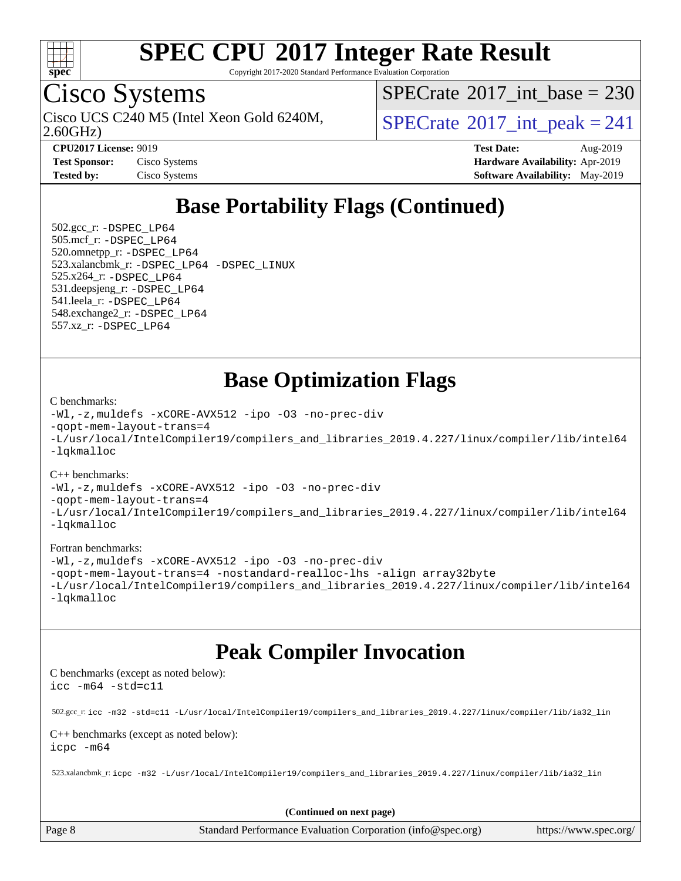

Copyright 2017-2020 Standard Performance Evaluation Corporation

## Cisco Systems

2.60GHz) Cisco UCS C240 M5 (Intel Xeon Gold 6240M,  $\vert$ [SPECrate](http://www.spec.org/auto/cpu2017/Docs/result-fields.html#SPECrate2017intpeak)®[2017\\_int\\_peak = 2](http://www.spec.org/auto/cpu2017/Docs/result-fields.html#SPECrate2017intpeak)41

 $SPECrate$ <sup>®</sup>[2017\\_int\\_base =](http://www.spec.org/auto/cpu2017/Docs/result-fields.html#SPECrate2017intbase) 230

**[CPU2017 License:](http://www.spec.org/auto/cpu2017/Docs/result-fields.html#CPU2017License)** 9019 **[Test Date:](http://www.spec.org/auto/cpu2017/Docs/result-fields.html#TestDate)** Aug-2019 **[Test Sponsor:](http://www.spec.org/auto/cpu2017/Docs/result-fields.html#TestSponsor)** Cisco Systems **[Hardware Availability:](http://www.spec.org/auto/cpu2017/Docs/result-fields.html#HardwareAvailability)** Apr-2019 **[Tested by:](http://www.spec.org/auto/cpu2017/Docs/result-fields.html#Testedby)** Cisco Systems **[Software Availability:](http://www.spec.org/auto/cpu2017/Docs/result-fields.html#SoftwareAvailability)** May-2019

## **[Base Portability Flags \(Continued\)](http://www.spec.org/auto/cpu2017/Docs/result-fields.html#BasePortabilityFlags)**

 502.gcc\_r: [-DSPEC\\_LP64](http://www.spec.org/cpu2017/results/res2019q3/cpu2017-20190819-16778.flags.html#suite_basePORTABILITY502_gcc_r_DSPEC_LP64) 505.mcf\_r: [-DSPEC\\_LP64](http://www.spec.org/cpu2017/results/res2019q3/cpu2017-20190819-16778.flags.html#suite_basePORTABILITY505_mcf_r_DSPEC_LP64) 520.omnetpp\_r: [-DSPEC\\_LP64](http://www.spec.org/cpu2017/results/res2019q3/cpu2017-20190819-16778.flags.html#suite_basePORTABILITY520_omnetpp_r_DSPEC_LP64) 523.xalancbmk\_r: [-DSPEC\\_LP64](http://www.spec.org/cpu2017/results/res2019q3/cpu2017-20190819-16778.flags.html#suite_basePORTABILITY523_xalancbmk_r_DSPEC_LP64) [-DSPEC\\_LINUX](http://www.spec.org/cpu2017/results/res2019q3/cpu2017-20190819-16778.flags.html#b523.xalancbmk_r_baseCXXPORTABILITY_DSPEC_LINUX) 525.x264\_r: [-DSPEC\\_LP64](http://www.spec.org/cpu2017/results/res2019q3/cpu2017-20190819-16778.flags.html#suite_basePORTABILITY525_x264_r_DSPEC_LP64) 531.deepsjeng\_r: [-DSPEC\\_LP64](http://www.spec.org/cpu2017/results/res2019q3/cpu2017-20190819-16778.flags.html#suite_basePORTABILITY531_deepsjeng_r_DSPEC_LP64) 541.leela\_r: [-DSPEC\\_LP64](http://www.spec.org/cpu2017/results/res2019q3/cpu2017-20190819-16778.flags.html#suite_basePORTABILITY541_leela_r_DSPEC_LP64) 548.exchange2\_r: [-DSPEC\\_LP64](http://www.spec.org/cpu2017/results/res2019q3/cpu2017-20190819-16778.flags.html#suite_basePORTABILITY548_exchange2_r_DSPEC_LP64) 557.xz\_r: [-DSPEC\\_LP64](http://www.spec.org/cpu2017/results/res2019q3/cpu2017-20190819-16778.flags.html#suite_basePORTABILITY557_xz_r_DSPEC_LP64)

### **[Base Optimization Flags](http://www.spec.org/auto/cpu2017/Docs/result-fields.html#BaseOptimizationFlags)**

#### [C benchmarks](http://www.spec.org/auto/cpu2017/Docs/result-fields.html#Cbenchmarks):

```
-Wl,-z,muldefs -xCORE-AVX512 -ipo -O3 -no-prec-div
-qopt-mem-layout-trans=4
-L/usr/local/IntelCompiler19/compilers_and_libraries_2019.4.227/linux/compiler/lib/intel64
-lqkmalloc
```
#### [C++ benchmarks](http://www.spec.org/auto/cpu2017/Docs/result-fields.html#CXXbenchmarks):

```
-Wl,-z,muldefs -xCORE-AVX512 -ipo -O3 -no-prec-div
-qopt-mem-layout-trans=4
-L/usr/local/IntelCompiler19/compilers_and_libraries_2019.4.227/linux/compiler/lib/intel64
-lqkmalloc
```
#### [Fortran benchmarks](http://www.spec.org/auto/cpu2017/Docs/result-fields.html#Fortranbenchmarks):

```
-Wl,-z,muldefs -xCORE-AVX512 -ipo -O3 -no-prec-div
-qopt-mem-layout-trans=4 -nostandard-realloc-lhs -align array32byte
-L/usr/local/IntelCompiler19/compilers_and_libraries_2019.4.227/linux/compiler/lib/intel64
-lqkmalloc
```
### **[Peak Compiler Invocation](http://www.spec.org/auto/cpu2017/Docs/result-fields.html#PeakCompilerInvocation)**

[C benchmarks \(except as noted below\)](http://www.spec.org/auto/cpu2017/Docs/result-fields.html#Cbenchmarksexceptasnotedbelow): [icc -m64 -std=c11](http://www.spec.org/cpu2017/results/res2019q3/cpu2017-20190819-16778.flags.html#user_CCpeak_intel_icc_64bit_c11_33ee0cdaae7deeeab2a9725423ba97205ce30f63b9926c2519791662299b76a0318f32ddfffdc46587804de3178b4f9328c46fa7c2b0cd779d7a61945c91cd35)

502.gcc\_r: [icc -m32 -std=c11 -L/usr/local/IntelCompiler19/compilers\\_and\\_libraries\\_2019.4.227/linux/compiler/lib/ia32\\_lin](http://www.spec.org/cpu2017/results/res2019q3/cpu2017-20190819-16778.flags.html#user_peakCCLD502_gcc_r_intel_icc_38a193a897536fa645efb1dc6ac2bea2bddbbe56f130e144a606d1b2649003f27c79f8814020c1f9355cbbf0d7ab0d194a7a979ee1e2a95641bbb8cf571aac7b)

#### [C++ benchmarks \(except as noted below\)](http://www.spec.org/auto/cpu2017/Docs/result-fields.html#CXXbenchmarksexceptasnotedbelow): [icpc -m64](http://www.spec.org/cpu2017/results/res2019q3/cpu2017-20190819-16778.flags.html#user_CXXpeak_intel_icpc_64bit_4ecb2543ae3f1412ef961e0650ca070fec7b7afdcd6ed48761b84423119d1bf6bdf5cad15b44d48e7256388bc77273b966e5eb805aefd121eb22e9299b2ec9d9)

523.xalancbmk\_r: [icpc -m32 -L/usr/local/IntelCompiler19/compilers\\_and\\_libraries\\_2019.4.227/linux/compiler/lib/ia32\\_lin](http://www.spec.org/cpu2017/results/res2019q3/cpu2017-20190819-16778.flags.html#user_peakCXXLD523_xalancbmk_r_intel_icpc_840f965b38320ad10acba6032d6ca4c816e722c432c250f3408feae347068ba449f694544a48cf12cd3bde3495e328e6747ab0f629c2925d3062e2ee144af951)

**(Continued on next page)**

Page 8 Standard Performance Evaluation Corporation [\(info@spec.org\)](mailto:info@spec.org) <https://www.spec.org/>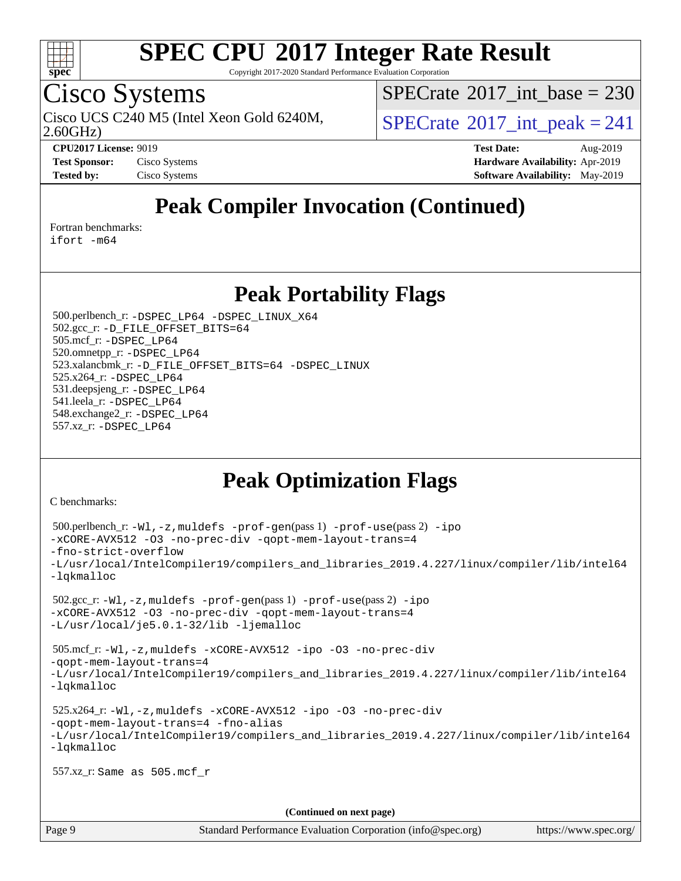

Copyright 2017-2020 Standard Performance Evaluation Corporation

## Cisco Systems

 $SPECTate@2017_int\_base = 230$ 

Cisco UCS C240 M5 (Intel Xeon Gold 6240M,  $\vert$ [SPECrate](http://www.spec.org/auto/cpu2017/Docs/result-fields.html#SPECrate2017intpeak)®[2017\\_int\\_peak = 2](http://www.spec.org/auto/cpu2017/Docs/result-fields.html#SPECrate2017intpeak)41

2.60GHz)

**[CPU2017 License:](http://www.spec.org/auto/cpu2017/Docs/result-fields.html#CPU2017License)** 9019 **[Test Date:](http://www.spec.org/auto/cpu2017/Docs/result-fields.html#TestDate)** Aug-2019 **[Test Sponsor:](http://www.spec.org/auto/cpu2017/Docs/result-fields.html#TestSponsor)** Cisco Systems **[Hardware Availability:](http://www.spec.org/auto/cpu2017/Docs/result-fields.html#HardwareAvailability)** Apr-2019 **[Tested by:](http://www.spec.org/auto/cpu2017/Docs/result-fields.html#Testedby)** Cisco Systems **Cisco Systems [Software Availability:](http://www.spec.org/auto/cpu2017/Docs/result-fields.html#SoftwareAvailability)** May-2019

## **[Peak Compiler Invocation \(Continued\)](http://www.spec.org/auto/cpu2017/Docs/result-fields.html#PeakCompilerInvocation)**

[Fortran benchmarks](http://www.spec.org/auto/cpu2017/Docs/result-fields.html#Fortranbenchmarks):

[ifort -m64](http://www.spec.org/cpu2017/results/res2019q3/cpu2017-20190819-16778.flags.html#user_FCpeak_intel_ifort_64bit_24f2bb282fbaeffd6157abe4f878425411749daecae9a33200eee2bee2fe76f3b89351d69a8130dd5949958ce389cf37ff59a95e7a40d588e8d3a57e0c3fd751)

### **[Peak Portability Flags](http://www.spec.org/auto/cpu2017/Docs/result-fields.html#PeakPortabilityFlags)**

 500.perlbench\_r: [-DSPEC\\_LP64](http://www.spec.org/cpu2017/results/res2019q3/cpu2017-20190819-16778.flags.html#b500.perlbench_r_peakPORTABILITY_DSPEC_LP64) [-DSPEC\\_LINUX\\_X64](http://www.spec.org/cpu2017/results/res2019q3/cpu2017-20190819-16778.flags.html#b500.perlbench_r_peakCPORTABILITY_DSPEC_LINUX_X64) 502.gcc\_r: [-D\\_FILE\\_OFFSET\\_BITS=64](http://www.spec.org/cpu2017/results/res2019q3/cpu2017-20190819-16778.flags.html#user_peakPORTABILITY502_gcc_r_file_offset_bits_64_5ae949a99b284ddf4e95728d47cb0843d81b2eb0e18bdfe74bbf0f61d0b064f4bda2f10ea5eb90e1dcab0e84dbc592acfc5018bc955c18609f94ddb8d550002c) 505.mcf\_r: [-DSPEC\\_LP64](http://www.spec.org/cpu2017/results/res2019q3/cpu2017-20190819-16778.flags.html#suite_peakPORTABILITY505_mcf_r_DSPEC_LP64) 520.omnetpp\_r: [-DSPEC\\_LP64](http://www.spec.org/cpu2017/results/res2019q3/cpu2017-20190819-16778.flags.html#suite_peakPORTABILITY520_omnetpp_r_DSPEC_LP64) 523.xalancbmk\_r: [-D\\_FILE\\_OFFSET\\_BITS=64](http://www.spec.org/cpu2017/results/res2019q3/cpu2017-20190819-16778.flags.html#user_peakPORTABILITY523_xalancbmk_r_file_offset_bits_64_5ae949a99b284ddf4e95728d47cb0843d81b2eb0e18bdfe74bbf0f61d0b064f4bda2f10ea5eb90e1dcab0e84dbc592acfc5018bc955c18609f94ddb8d550002c) [-DSPEC\\_LINUX](http://www.spec.org/cpu2017/results/res2019q3/cpu2017-20190819-16778.flags.html#b523.xalancbmk_r_peakCXXPORTABILITY_DSPEC_LINUX) 525.x264\_r: [-DSPEC\\_LP64](http://www.spec.org/cpu2017/results/res2019q3/cpu2017-20190819-16778.flags.html#suite_peakPORTABILITY525_x264_r_DSPEC_LP64) 531.deepsjeng\_r: [-DSPEC\\_LP64](http://www.spec.org/cpu2017/results/res2019q3/cpu2017-20190819-16778.flags.html#suite_peakPORTABILITY531_deepsjeng_r_DSPEC_LP64) 541.leela\_r: [-DSPEC\\_LP64](http://www.spec.org/cpu2017/results/res2019q3/cpu2017-20190819-16778.flags.html#suite_peakPORTABILITY541_leela_r_DSPEC_LP64) 548.exchange2\_r: [-DSPEC\\_LP64](http://www.spec.org/cpu2017/results/res2019q3/cpu2017-20190819-16778.flags.html#suite_peakPORTABILITY548_exchange2_r_DSPEC_LP64) 557.xz\_r: [-DSPEC\\_LP64](http://www.spec.org/cpu2017/results/res2019q3/cpu2017-20190819-16778.flags.html#suite_peakPORTABILITY557_xz_r_DSPEC_LP64)

## **[Peak Optimization Flags](http://www.spec.org/auto/cpu2017/Docs/result-fields.html#PeakOptimizationFlags)**

[C benchmarks](http://www.spec.org/auto/cpu2017/Docs/result-fields.html#Cbenchmarks):

```
 500.perlbench_r: -Wl,-z,muldefs -prof-gen(pass 1) -prof-use(pass 2) -ipo
-xCORE-AVX512 -O3 -no-prec-div -qopt-mem-layout-trans=4
-fno-strict-overflow
-L/usr/local/IntelCompiler19/compilers_and_libraries_2019.4.227/linux/compiler/lib/intel64
-lqkmalloc
 502.gcc_r: -Wl,-z,muldefs -prof-gen(pass 1) -prof-use(pass 2) -ipo
-xCORE-AVX512 -O3 -no-prec-div -qopt-mem-layout-trans=4
-L/usr/local/je5.0.1-32/lib -ljemalloc
 505.mcf_r: -Wl,-z,muldefs -xCORE-AVX512 -ipo -O3 -no-prec-div
-qopt-mem-layout-trans=4
-L/usr/local/IntelCompiler19/compilers_and_libraries_2019.4.227/linux/compiler/lib/intel64
-lqkmalloc
 525.x264_r: -Wl,-z,muldefs -xCORE-AVX512 -ipo -O3 -no-prec-div
-qopt-mem-layout-trans=4 -fno-alias
-L/usr/local/IntelCompiler19/compilers_and_libraries_2019.4.227/linux/compiler/lib/intel64
-lqkmalloc
 557.xz_r: Same as 505.mcf_r
                                      (Continued on next page)
```